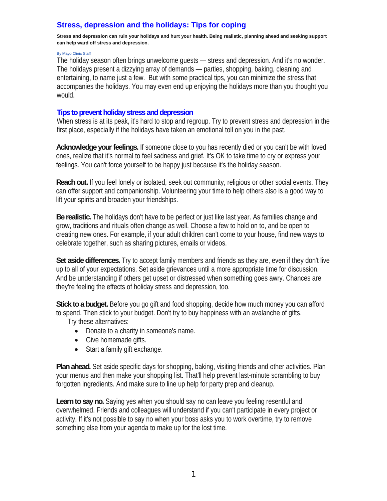# **Stress, depression and the holidays: Tips for coping**

**Stress and depression can ruin your holidays and hurt your health. Being realistic, planning ahead and seeking support can help ward off stress and depression.** 

#### By Mayo Clinic Staff

The holiday season often brings unwelcome guests — stress and depression. And it's no wonder. The holidays present a dizzying array of demands — parties, shopping, baking, cleaning and entertaining, to name just a few. But with some practical tips, you can minimize the stress that accompanies the holidays. You may even end up enjoying the holidays more than you thought you would.

### **Tips to prevent holiday stress and depression**

When stress is at its peak, it's hard to stop and regroup. Try to prevent stress and depression in the first place, especially if the holidays have taken an emotional toll on you in the past.

**Acknowledge your feelings.** If someone close to you has recently died or you can't be with loved ones, realize that it's normal to feel sadness and grief. It's OK to take time to cry or express your feelings. You can't force yourself to be happy just because it's the holiday season.

**Reach out.** If you feel lonely or isolated, seek out community, religious or other social events. They can offer support and companionship. Volunteering your time to help others also is a good way to lift your spirits and broaden your friendships.

**Be realistic.** The holidays don't have to be perfect or just like last year. As families change and grow, traditions and rituals often change as well. Choose a few to hold on to, and be open to creating new ones. For example, if your adult children can't come to your house, find new ways to celebrate together, such as sharing pictures, emails or videos.

**Set aside differences.** Try to accept family members and friends as they are, even if they don't live up to all of your expectations. Set aside grievances until a more appropriate time for discussion. And be understanding if others get upset or distressed when something goes awry. Chances are they're feeling the effects of holiday stress and depression, too.

**Stick to a budget.** Before you go gift and food shopping, decide how much money you can afford to spend. Then stick to your budget. Don't try to buy happiness with an avalanche of gifts.

Try these alternatives:

- Donate to a charity in someone's name.
- Give homemade gifts.
- Start a family gift exchange.

**Plan ahead.** Set aside specific days for shopping, baking, visiting friends and other activities. Plan your menus and then make your shopping list. That'll help prevent last-minute scrambling to buy forgotten ingredients. And make sure to line up help for party prep and cleanup.

**Learn to say no.** Saying yes when you should say no can leave you feeling resentful and overwhelmed. Friends and colleagues will understand if you can't participate in every project or activity. If it's not possible to say no when your boss asks you to work overtime, try to remove something else from your agenda to make up for the lost time.